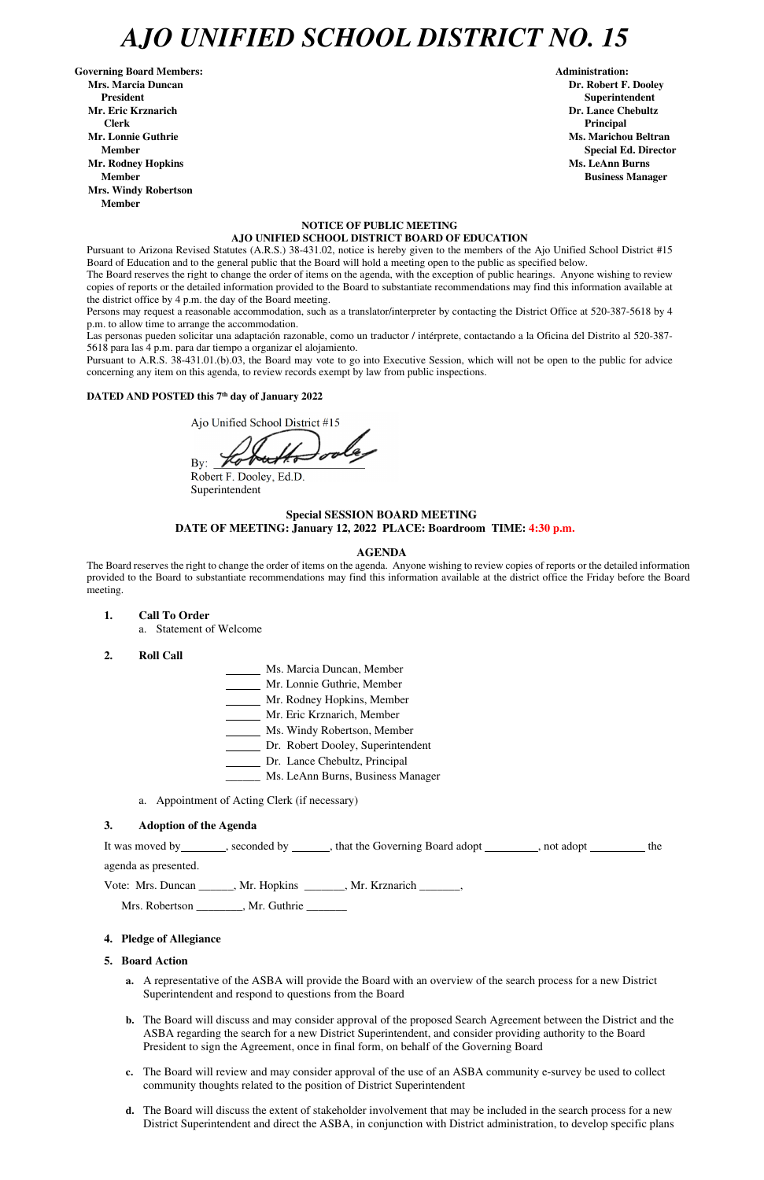## *AJO UNIFIED SCHOOL DISTRICT NO. 15*

Governing Board Members: **Administration: Administration: Mrs. Marcia Duncan Dr. Robert F. Dooley President Superintendent in the set of the set of the set of the set of the set of the Superintendent Superintendent Mr. Eric Krznarich Dr. Lance Chebultz Clerk Principal Mr. Lonnie Guthrie Ms. Marichou Beltran** *Ms. Marichou Beltran* **Ms. Marichou Beltran <b>Ms. Marichou Beltran Mr. Rodney Hopkins Ms. LeAnn Burns Member Business Manager Business Manager Business Manager Mrs. Windy Robertson Member** 

## **NOTICE OF PUBLIC MEETING AJO UNIFIED SCHOOL DISTRICT BOARD OF EDUCATION**

Pursuant to Arizona Revised Statutes (A.R.S.) 38-431.02, notice is hereby given to the members of the Ajo Unified School District #15 Board of Education and to the general public that the Board will hold a meeting open to the public as specified below.

The Board reserves the right to change the order of items on the agenda, with the exception of public hearings. Anyone wishing to review copies of reports or the detailed information provided to the Board to substantiate recommendations may find this information available at the district office by 4 p.m. the day of the Board meeting.

Persons may request a reasonable accommodation, such as a translator/interpreter by contacting the District Office at 520-387-5618 by 4 p.m. to allow time to arrange the accommodation.

Las personas pueden solicitar una adaptación razonable, como un traductor / intérprete, contactando a la Oficina del Distrito al 520-387- 5618 para las 4 p.m. para dar tiempo a organizar el alojamiento.

Pursuant to A.R.S. 38-431.01.(b).03, the Board may vote to go into Executive Session, which will not be open to the public for advice concerning any item on this agenda, to review records exempt by law from public inspections.

## **DATED AND POSTED this 7th day of January 2022**

Ajo Unified School District #15

By:

Robert F. Dooley, Ed.D. Superintendent

## **Special SESSION BOARD MEETING DATE OF MEETING: January 12, 2022 PLACE: Boardroom TIME: 4:30 p.m.**

#### **AGENDA**

The Board reserves the right to change the order of items on the agenda. Anyone wishing to review copies of reports or the detailed information provided to the Board to substantiate recommendations may find this information available at the district office the Friday before the Board meeting.

- **1. Call To Order** 
	- a. Statement of Welcome
- **2. Roll Call**
- Ms. Marcia Duncan, Member
- Mr. Lonnie Guthrie, Member
- Mr. Rodney Hopkins, Member
- Mr. Eric Krznarich, Member
- Ms. Windy Robertson, Member
- Dr. Robert Dooley, Superintendent
- Dr. Lance Chebultz, Principal
- \_\_\_\_\_\_ Ms. LeAnn Burns, Business Manager
- a. Appointment of Acting Clerk (if necessary)

#### **3. Adoption of the Agenda**

It was moved by seconded by seconded by seconded by settled by property and adopt settled by  $\frac{1}{\sqrt{1-\frac{1}{n}}}\cos\theta$ , not adopt  $\frac{1}{\sqrt{1-\frac{1}{n}}}\sin\theta$ 

**Member** Special Ed. Director **Special Ed. Director** 

agenda as presented.

Vote: Mrs. Duncan \_\_\_\_\_\_, Mr. Hopkins \_\_\_\_\_\_\_, Mr. Krznarich \_\_\_\_\_\_\_,

Mrs. Robertson \_\_\_\_\_\_\_, Mr. Guthrie \_\_\_\_\_\_

## **4. Pledge of Allegiance**

## **5. Board Action**

- **a.** A representative of the ASBA will provide the Board with an overview of the search process for a new District Superintendent and respond to questions from the Board
- **b.** The Board will discuss and may consider approval of the proposed Search Agreement between the District and the ASBA regarding the search for a new District Superintendent, and consider providing authority to the Board President to sign the Agreement, once in final form, on behalf of the Governing Board
- **c.** The Board will review and may consider approval of the use of an ASBA community e-survey be used to collect community thoughts related to the position of District Superintendent
- **d.** The Board will discuss the extent of stakeholder involvement that may be included in the search process for a new District Superintendent and direct the ASBA, in conjunction with District administration, to develop specific plans